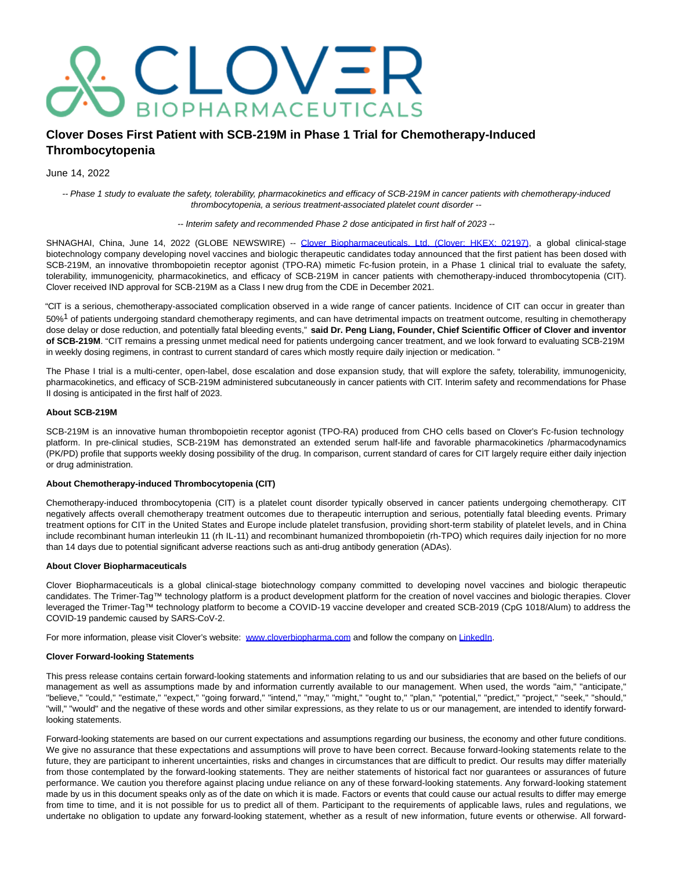

# **Clover Doses First Patient with SCB-219M in Phase 1 Trial for Chemotherapy-Induced Thrombocytopenia**

June 14, 2022

-- Phase 1 study to evaluate the safety, tolerability, pharmacokinetics and efficacy of SCB-219M in cancer patients with chemotherapy-induced thrombocytopenia, a serious treatment-associated platelet count disorder --

-- Interim safety and recommended Phase 2 dose anticipated in first half of 2023 --

SHNAGHAI, China, June 14, 2022 (GLOBE NEWSWIRE) -- [Clover Biopharmaceuticals, Ltd. \(Clover; HKEX: 02197\),](https://www.globenewswire.com/Tracker?data=2LuLcnbx32loX3c_sylrodZognABn15nAVnu33ARQhQcR3OI0MZmVKb7i3opQi5I9udpu2bipSI1oXeB8TS4nSYDVoxcL76XslfwT3HexVs7kBLLtBJhS34qbOIzU3YoQ4puVR9oiQJKmTy66HFwig==) a global clinical-stage biotechnology company developing novel vaccines and biologic therapeutic candidates today announced that the first patient has been dosed with SCB-219M, an innovative thrombopoietin receptor agonist (TPO-RA) mimetic Fc-fusion protein, in a Phase 1 clinical trial to evaluate the safety, tolerability, immunogenicity, pharmacokinetics, and efficacy of SCB-219M in cancer patients with chemotherapy-induced thrombocytopenia (CIT). Clover received IND approval for SCB-219M as a Class I new drug from the CDE in December 2021.

"CIT is a serious, chemotherapy-associated complication observed in a wide range of cancer patients. Incidence of CIT can occur in greater than 50%1 of patients undergoing standard chemotherapy regiments, and can have detrimental impacts on treatment outcome, resulting in chemotherapy dose delay or dose reduction, and potentially fatal bleeding events," **said Dr. Peng Liang, Founder, Chief Scientific Officer of Clover and inventor of SCB-219M**. "CIT remains a pressing unmet medical need for patients undergoing cancer treatment, and we look forward to evaluating SCB-219M in weekly dosing regimens, in contrast to current standard of cares which mostly require daily injection or medication."

The Phase I trial is a multi-center, open-label, dose escalation and dose expansion study, that will explore the safety, tolerability, immunogenicity, pharmacokinetics, and efficacy of SCB-219M administered subcutaneously in cancer patients with CIT. Interim safety and recommendations for Phase II dosing is anticipated in the first half of 2023.

### **About SCB-219M**

SCB-219M is an innovative human thrombopoietin receptor agonist (TPO-RA) produced from CHO cells based on Clover's Fc-fusion technology platform. In pre-clinical studies, SCB-219M has demonstrated an extended serum half-life and favorable pharmacokinetics /pharmacodynamics (PK/PD) profile that supports weekly dosing possibility of the drug. In comparison, current standard of cares for CIT largely require either daily injection or drug administration.

#### **About Chemotherapy-induced Thrombocytopenia (CIT)**

Chemotherapy-induced thrombocytopenia (CIT) is a platelet count disorder typically observed in cancer patients undergoing chemotherapy. CIT negatively affects overall chemotherapy treatment outcomes due to therapeutic interruption and serious, potentially fatal bleeding events. Primary treatment options for CIT in the United States and Europe include platelet transfusion, providing short-term stability of platelet levels, and in China include recombinant human interleukin 11 (rh IL-11) and recombinant humanized thrombopoietin (rh-TPO) which requires daily injection for no more than 14 days due to potential significant adverse reactions such as anti-drug antibody generation (ADAs).

#### **About Clover Biopharmaceuticals**

Clover Biopharmaceuticals is a global clinical-stage biotechnology company committed to developing novel vaccines and biologic therapeutic candidates. The Trimer-Tag™ technology platform is a product development platform for the creation of novel vaccines and biologic therapies. Clover leveraged the Trimer-Tag™ technology platform to become a COVID-19 vaccine developer and created SCB-2019 (CpG 1018/Alum) to address the COVID-19 pandemic caused by SARS-CoV-2.

For more information, please visit Clover's website: [www.cloverbiopharma.com a](https://www.globenewswire.com/Tracker?data=-Uv-R8gPOy1OqCpJHoAdybgOxCC3J7iQvfeFjzygk7Bzi8-R07il2iwfrbl7vjxG8ZjKKCpqgHZ9HYYu5avMg3EAAQFZ4J4pNR-th9AO9mk=)nd follow the company on [LinkedIn.](https://www.globenewswire.com/Tracker?data=xPXA21tSh72hRC8EX-kifyoSs-0gQjaD68gGOByh8r2Bijhrcf3u1a-EjxrKEWXXSRWweyNgJLBy4IfhOeaqDmMn25TqQEmWBcqo3ZXkQC2J2NxEfzS5LsM_7rdT2jC8qpybml6giMmuTSgbXGvY4w==)

#### **Clover Forward-looking Statements**

This press release contains certain forward-looking statements and information relating to us and our subsidiaries that are based on the beliefs of our management as well as assumptions made by and information currently available to our management. When used, the words "aim," "anticipate," "believe," "could," "estimate," "expect," "going forward," "intend," "may," "might," "ought to," "plan," "potential," "predict," "project," "seek," "should," "will," "would" and the negative of these words and other similar expressions, as they relate to us or our management, are intended to identify forwardlooking statements.

Forward-looking statements are based on our current expectations and assumptions regarding our business, the economy and other future conditions. We give no assurance that these expectations and assumptions will prove to have been correct. Because forward-looking statements relate to the future, they are participant to inherent uncertainties, risks and changes in circumstances that are difficult to predict. Our results may differ materially from those contemplated by the forward-looking statements. They are neither statements of historical fact nor guarantees or assurances of future performance. We caution you therefore against placing undue reliance on any of these forward-looking statements. Any forward-looking statement made by us in this document speaks only as of the date on which it is made. Factors or events that could cause our actual results to differ may emerge from time to time, and it is not possible for us to predict all of them. Participant to the requirements of applicable laws, rules and regulations, we undertake no obligation to update any forward-looking statement, whether as a result of new information, future events or otherwise. All forward